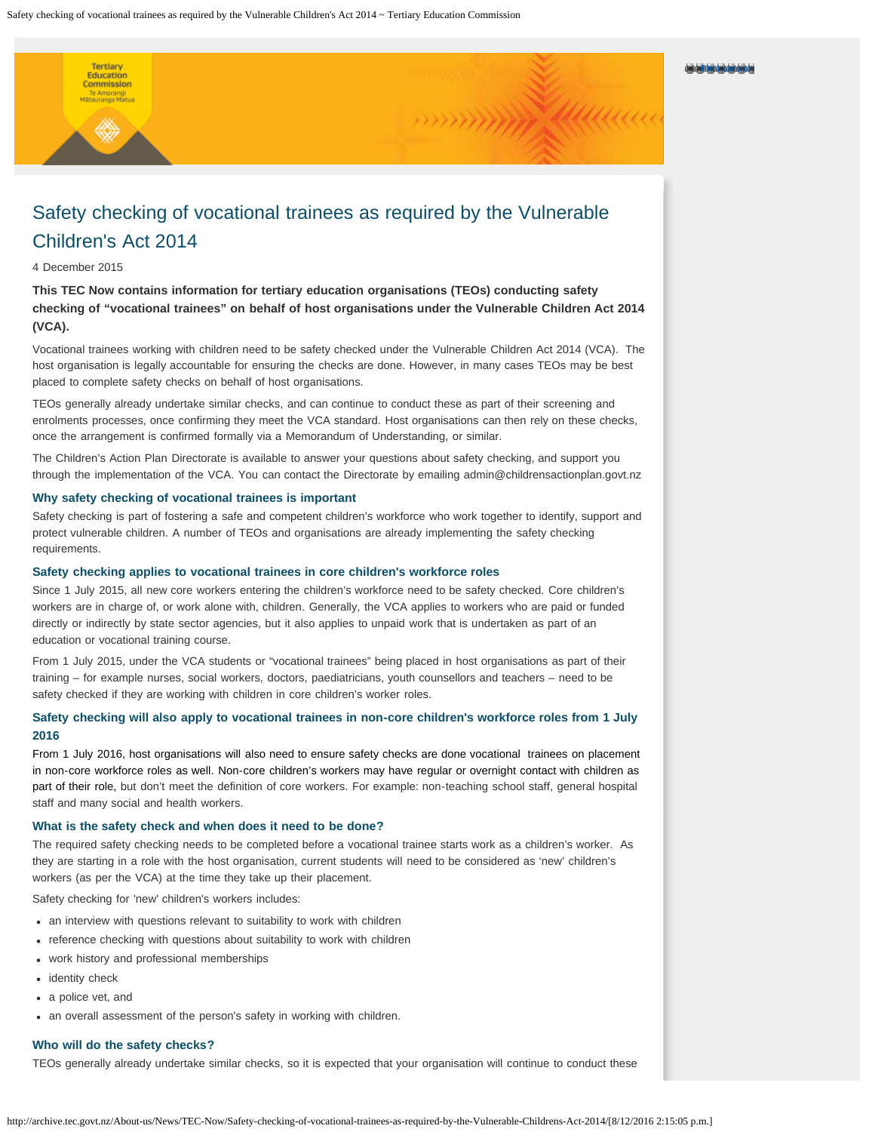#### Print version

# Safety checking of vocational trainees as required by the Vulnerable Children's Act 2014

## 4 December 2015

Tertiary Commission Te Amorangi<br>Matauranga Matua

**This TEC Now contains information for tertiary education organisations (TEOs) conducting safety checking of "vocational trainees" on behalf of host organisations under the Vulnerable Children Act 2014 (VCA).**

Vocational trainees working with children need to be safety checked under the Vulnerable Children Act 2014 (VCA). The host organisation is legally accountable for ensuring the checks are done. However, in many cases TEOs may be best placed to complete safety checks on behalf of host organisations.

TEOs generally already undertake similar checks, and can continue to conduct these as part of their screening and enrolments processes, once confirming they meet the VCA standard. Host organisations can then rely on these checks, once the arrangement is confirmed formally via a Memorandum of Understanding, or similar.

The Children's Action Plan Directorate is available to answer your questions about safety checking, and support you through the implementation of the VCA. You can contact the Directorate by emailing admin@childrensactionplan.govt.nz

#### **Why safety checking of vocational trainees is important**

Safety checking is part of fostering a safe and competent children's workforce who work together to identify, support and protect vulnerable children. A number of TEOs and organisations are already implementing the safety checking requirements.

#### **Safety checking applies to vocational trainees in core children's workforce roles**

Since 1 July 2015, all new core workers entering the children's workforce need to be safety checked. Core children's workers are in charge of, or work alone with, children. Generally, the VCA applies to workers who are paid or funded directly or indirectly by state sector agencies, but it also applies to unpaid work that is undertaken as part of an education or vocational training course.

From 1 July 2015, under the VCA students or "vocational trainees" being placed in host organisations as part of their training – for example nurses, social workers, doctors, paediatricians, youth counsellors and teachers – need to be safety checked if they are working with children in core children's worker roles.

## **Safety checking will also apply to vocational trainees in non-core children's workforce roles from 1 July 2016**

From 1 July 2016, host organisations will also need to ensure safety checks are done vocational trainees on placement in non-core workforce roles as well. Non-core children's workers may have regular or overnight contact with children as part of their role, but don't meet the definition of core workers. For example: non-teaching school staff, general hospital staff and many social and health workers.

## **What is the safety check and when does it need to be done?**

The required safety checking needs to be completed before a vocational trainee starts work as a children's worker. As they are starting in a role with the host organisation, current students will need to be considered as 'new' children's workers (as per the VCA) at the time they take up their placement.

Safety checking for 'new' children's workers includes:

- an interview with questions relevant to suitability to work with children
- reference checking with questions about suitability to work with children
- work history and professional memberships
- identity check
- a police vet, and
- an overall assessment of the person's safety in working with children.

## **Who will do the safety checks?**

TEOs generally already undertake similar checks, so it is expected that your organisation will continue to conduct these